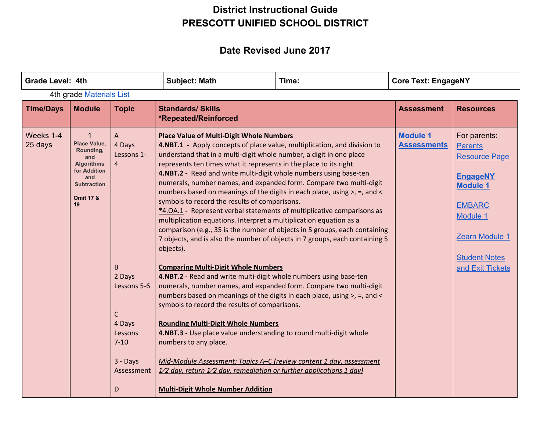| <b>Grade Level: 4th</b>  |                                                                                                                                                        |                                                                                                                                                  | <b>Subject: Math</b>                                                                                                                                                                                                                                                                                                                                                                                                                                                                                                                                                                                                                                                                                                                                                                                                                                                                                                                                                                                                                                                                                                                                                                                                                                                                                                                                                                                                                                                                                                                       | Time: | <b>Core Text: EngageNY</b>            |                                                                                                                                                                                         |  |  |  |
|--------------------------|--------------------------------------------------------------------------------------------------------------------------------------------------------|--------------------------------------------------------------------------------------------------------------------------------------------------|--------------------------------------------------------------------------------------------------------------------------------------------------------------------------------------------------------------------------------------------------------------------------------------------------------------------------------------------------------------------------------------------------------------------------------------------------------------------------------------------------------------------------------------------------------------------------------------------------------------------------------------------------------------------------------------------------------------------------------------------------------------------------------------------------------------------------------------------------------------------------------------------------------------------------------------------------------------------------------------------------------------------------------------------------------------------------------------------------------------------------------------------------------------------------------------------------------------------------------------------------------------------------------------------------------------------------------------------------------------------------------------------------------------------------------------------------------------------------------------------------------------------------------------------|-------|---------------------------------------|-----------------------------------------------------------------------------------------------------------------------------------------------------------------------------------------|--|--|--|
| 4th grade Materials List |                                                                                                                                                        |                                                                                                                                                  |                                                                                                                                                                                                                                                                                                                                                                                                                                                                                                                                                                                                                                                                                                                                                                                                                                                                                                                                                                                                                                                                                                                                                                                                                                                                                                                                                                                                                                                                                                                                            |       |                                       |                                                                                                                                                                                         |  |  |  |
| <b>Time/Days</b>         | <b>Module</b>                                                                                                                                          | <b>Topic</b>                                                                                                                                     | <b>Standards/ Skills</b><br>*Repeated/Reinforced                                                                                                                                                                                                                                                                                                                                                                                                                                                                                                                                                                                                                                                                                                                                                                                                                                                                                                                                                                                                                                                                                                                                                                                                                                                                                                                                                                                                                                                                                           |       | <b>Assessment</b>                     | <b>Resources</b>                                                                                                                                                                        |  |  |  |
| Weeks 1-4<br>25 days     | $\mathbf 1$<br><b>Place Value,</b><br>Rounding,<br>and<br><b>Algorithms</b><br>for Addition<br>and<br><b>Subtraction</b><br><b>Omit 17 &amp;</b><br>19 | A<br>4 Days<br>Lessons 1-<br>$\overline{4}$<br>B<br>2 Days<br>Lessons 5-6<br>С<br>4 Days<br>Lessons<br>$7 - 10$<br>$3 -$ Days<br>Assessment<br>D | <b>Place Value of Multi-Digit Whole Numbers</b><br>4.NBT.1 - Apply concepts of place value, multiplication, and division to<br>understand that in a multi-digit whole number, a digit in one place<br>represents ten times what it represents in the place to its right.<br>4.NBT.2 - Read and write multi-digit whole numbers using base-ten<br>numerals, number names, and expanded form. Compare two multi-digit<br>numbers based on meanings of the digits in each place, using >, =, and <<br>symbols to record the results of comparisons.<br>*4.0A.1 - Represent verbal statements of multiplicative comparisons as<br>multiplication equations. Interpret a multiplication equation as a<br>comparison (e.g., 35 is the number of objects in 5 groups, each containing<br>7 objects, and is also the number of objects in 7 groups, each containing 5<br>objects).<br><b>Comparing Multi-Digit Whole Numbers</b><br>4.NBT.2 - Read and write multi-digit whole numbers using base-ten<br>numerals, number names, and expanded form. Compare two multi-digit<br>numbers based on meanings of the digits in each place, using >, =, and <<br>symbols to record the results of comparisons.<br><b>Rounding Multi-Digit Whole Numbers</b><br>4.NBT.3 - Use place value understanding to round multi-digit whole<br>numbers to any place.<br>Mid-Module Assessment: Topics A-C (review content 1 day, assessment<br>$1/2$ day, return $1/2$ day, remediation or further applications 1 day)<br><b>Multi-Digit Whole Number Addition</b> |       | <b>Module 1</b><br><b>Assessments</b> | For parents:<br><b>Parents</b><br><b>Resource Page</b><br><b>EngageNY</b><br><b>Module 1</b><br><b>EMBARC</b><br>Module 1<br>Zearn Module 1<br><b>Student Notes</b><br>and Exit Tickets |  |  |  |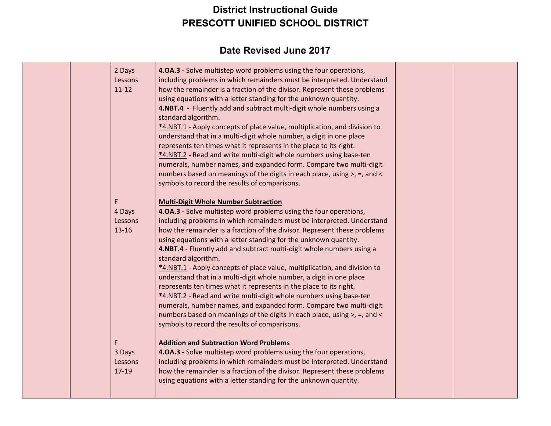|  | 2 Days<br>Lessons<br>$11 - 12$<br>E<br>4 Days<br>Lessons<br>$13 - 16$ | 4.0A.3 - Solve multistep word problems using the four operations,<br>including problems in which remainders must be interpreted. Understand<br>how the remainder is a fraction of the divisor. Represent these problems<br>using equations with a letter standing for the unknown quantity.<br>4.NBT.4 - Fluently add and subtract multi-digit whole numbers using a<br>standard algorithm.<br>*4.NBT.1 - Apply concepts of place value, multiplication, and division to<br>understand that in a multi-digit whole number, a digit in one place<br>represents ten times what it represents in the place to its right.<br>*4.NBT.2 - Read and write multi-digit whole numbers using base-ten<br>numerals, number names, and expanded form. Compare two multi-digit<br>numbers based on meanings of the digits in each place, using >, =, and <<br>symbols to record the results of comparisons.<br><b>Multi-Digit Whole Number Subtraction</b><br>4.0A.3 - Solve multistep word problems using the four operations,<br>including problems in which remainders must be interpreted. Understand<br>how the remainder is a fraction of the divisor. Represent these problems<br>using equations with a letter standing for the unknown quantity.<br>4.NBT.4 - Fluently add and subtract multi-digit whole numbers using a<br>standard algorithm.<br>*4.NBT.1 - Apply concepts of place value, multiplication, and division to<br>understand that in a multi-digit whole number, a digit in one place<br>represents ten times what it represents in the place to its right.<br>*4.NBT.2 - Read and write multi-digit whole numbers using base-ten<br>numerals, number names, and expanded form. Compare two multi-digit |  |
|--|-----------------------------------------------------------------------|--------------------------------------------------------------------------------------------------------------------------------------------------------------------------------------------------------------------------------------------------------------------------------------------------------------------------------------------------------------------------------------------------------------------------------------------------------------------------------------------------------------------------------------------------------------------------------------------------------------------------------------------------------------------------------------------------------------------------------------------------------------------------------------------------------------------------------------------------------------------------------------------------------------------------------------------------------------------------------------------------------------------------------------------------------------------------------------------------------------------------------------------------------------------------------------------------------------------------------------------------------------------------------------------------------------------------------------------------------------------------------------------------------------------------------------------------------------------------------------------------------------------------------------------------------------------------------------------------------------------------------------------------------------------------------------------------------------------|--|
|  |                                                                       | numbers based on meanings of the digits in each place, using >, =, and <<br>symbols to record the results of comparisons.                                                                                                                                                                                                                                                                                                                                                                                                                                                                                                                                                                                                                                                                                                                                                                                                                                                                                                                                                                                                                                                                                                                                                                                                                                                                                                                                                                                                                                                                                                                                                                                          |  |
|  | F<br>3 Days<br>Lessons<br>17-19                                       | <b>Addition and Subtraction Word Problems</b><br>4.0A.3 - Solve multistep word problems using the four operations,<br>including problems in which remainders must be interpreted. Understand<br>how the remainder is a fraction of the divisor. Represent these problems<br>using equations with a letter standing for the unknown quantity.                                                                                                                                                                                                                                                                                                                                                                                                                                                                                                                                                                                                                                                                                                                                                                                                                                                                                                                                                                                                                                                                                                                                                                                                                                                                                                                                                                       |  |
|  |                                                                       |                                                                                                                                                                                                                                                                                                                                                                                                                                                                                                                                                                                                                                                                                                                                                                                                                                                                                                                                                                                                                                                                                                                                                                                                                                                                                                                                                                                                                                                                                                                                                                                                                                                                                                                    |  |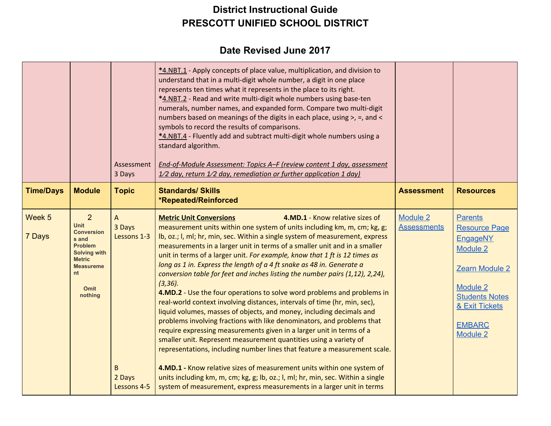|                  |                                                                                                                                                              | Assessment<br>3 Days                                     | *4.NBT.1 - Apply concepts of place value, multiplication, and division to<br>understand that in a multi-digit whole number, a digit in one place<br>represents ten times what it represents in the place to its right.<br>*4.NBT.2 - Read and write multi-digit whole numbers using base-ten<br>numerals, number names, and expanded form. Compare two multi-digit<br>numbers based on meanings of the digits in each place, using >, =, and <<br>symbols to record the results of comparisons.<br>*4.NBT.4 - Fluently add and subtract multi-digit whole numbers using a<br>standard algorithm.<br>End-of-Module Assessment: Topics A-F (review content 1 day, assessment<br>$1/2$ day, return $1/2$ day, remediation or further application 1 day)                                                                                                                                                                                                                                                                                                                                                                                                                                                                                                                                                                                       |                                       |                                                                                                                                                                                           |
|------------------|--------------------------------------------------------------------------------------------------------------------------------------------------------------|----------------------------------------------------------|--------------------------------------------------------------------------------------------------------------------------------------------------------------------------------------------------------------------------------------------------------------------------------------------------------------------------------------------------------------------------------------------------------------------------------------------------------------------------------------------------------------------------------------------------------------------------------------------------------------------------------------------------------------------------------------------------------------------------------------------------------------------------------------------------------------------------------------------------------------------------------------------------------------------------------------------------------------------------------------------------------------------------------------------------------------------------------------------------------------------------------------------------------------------------------------------------------------------------------------------------------------------------------------------------------------------------------------------|---------------------------------------|-------------------------------------------------------------------------------------------------------------------------------------------------------------------------------------------|
| <b>Time/Days</b> | <b>Module</b>                                                                                                                                                | <b>Topic</b>                                             | <b>Standards/ Skills</b><br>*Repeated/Reinforced                                                                                                                                                                                                                                                                                                                                                                                                                                                                                                                                                                                                                                                                                                                                                                                                                                                                                                                                                                                                                                                                                                                                                                                                                                                                                           | <b>Assessment</b>                     | <b>Resources</b>                                                                                                                                                                          |
| Week 5<br>7 Days | 2<br><b>Unit</b><br><b>Conversion</b><br>s and<br><b>Problem</b><br><b>Solving with</b><br><b>Metric</b><br><b>Measureme</b><br>nt<br><b>Omit</b><br>nothing | A<br>3 Days<br>Lessons 1-3<br>B<br>2 Days<br>Lessons 4-5 | <b>Metric Unit Conversions</b><br>4.MD.1 - Know relative sizes of<br>measurement units within one system of units including km, m, cm; kg, g;<br>Ib, oz.; I, mI; hr, min, sec. Within a single system of measurement, express<br>measurements in a larger unit in terms of a smaller unit and in a smaller<br>unit in terms of a larger unit. For example, know that 1 ft is 12 times as<br>long as 1 in. Express the length of a 4 ft snake as 48 in. Generate a<br>conversion table for feet and inches listing the number pairs (1,12), 2,24),<br>$(3, 36)$ .<br>4.MD.2 - Use the four operations to solve word problems and problems in<br>real-world context involving distances, intervals of time (hr, min, sec),<br>liquid volumes, masses of objects, and money, including decimals and<br>problems involving fractions with like denominators, and problems that<br>require expressing measurements given in a larger unit in terms of a<br>smaller unit. Represent measurement quantities using a variety of<br>representations, including number lines that feature a measurement scale.<br>4.MD.1 - Know relative sizes of measurement units within one system of<br>units including km, m, cm; kg, g; lb, oz.; l, ml; hr, min, sec. Within a single<br>system of measurement, express measurements in a larger unit in terms | <b>Module 2</b><br><b>Assessments</b> | <b>Parents</b><br><b>Resource Page</b><br><b>EngageNY</b><br>Module 2<br>Zearn Module 2<br><b>Module 2</b><br><b>Students Notes</b><br>& Exit Tickets<br><b>EMBARC</b><br><b>Module 2</b> |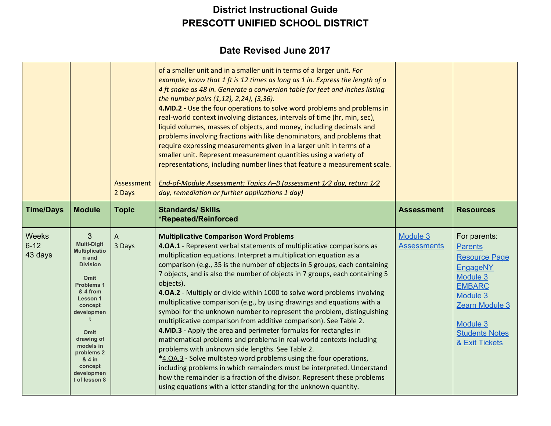|                                     |                                                                                                                                                                                                                                                                                                | Assessment<br>2 Days | of a smaller unit and in a smaller unit in terms of a larger unit. For<br>example, know that 1 ft is 12 times as long as 1 in. Express the length of a<br>4 ft snake as 48 in. Generate a conversion table for feet and inches listing<br>the number pairs (1,12), 2,24), (3,36).<br>4.MD.2 - Use the four operations to solve word problems and problems in<br>real-world context involving distances, intervals of time (hr, min, sec),<br>liquid volumes, masses of objects, and money, including decimals and<br>problems involving fractions with like denominators, and problems that<br>require expressing measurements given in a larger unit in terms of a<br>smaller unit. Represent measurement quantities using a variety of<br>representations, including number lines that feature a measurement scale.<br>End-of-Module Assessment: Topics A-B (assessment 1/2 day, return 1/2<br>day, remediation or further applications 1 day)                                                                                                                                                                                                                             |                                |                                                                                                                                                                                      |
|-------------------------------------|------------------------------------------------------------------------------------------------------------------------------------------------------------------------------------------------------------------------------------------------------------------------------------------------|----------------------|------------------------------------------------------------------------------------------------------------------------------------------------------------------------------------------------------------------------------------------------------------------------------------------------------------------------------------------------------------------------------------------------------------------------------------------------------------------------------------------------------------------------------------------------------------------------------------------------------------------------------------------------------------------------------------------------------------------------------------------------------------------------------------------------------------------------------------------------------------------------------------------------------------------------------------------------------------------------------------------------------------------------------------------------------------------------------------------------------------------------------------------------------------------------------|--------------------------------|--------------------------------------------------------------------------------------------------------------------------------------------------------------------------------------|
| <b>Time/Days</b>                    | <b>Module</b>                                                                                                                                                                                                                                                                                  | <b>Topic</b>         | <b>Standards/ Skills</b><br>*Repeated/Reinforced                                                                                                                                                                                                                                                                                                                                                                                                                                                                                                                                                                                                                                                                                                                                                                                                                                                                                                                                                                                                                                                                                                                             | <b>Assessment</b>              | <b>Resources</b>                                                                                                                                                                     |
| <b>Weeks</b><br>$6 - 12$<br>43 days | 3<br><b>Multi-Digit</b><br><b>Multiplicatio</b><br>n and<br><b>Division</b><br><b>Omit</b><br><b>Problems 1</b><br>& 4 from<br><b>Lesson 1</b><br>concept<br>developmen<br><b>Omit</b><br>drawing of<br>models in<br>problems <sub>2</sub><br>& 4 in<br>concept<br>developmen<br>t of lesson 8 | A<br>3 Days          | <b>Multiplicative Comparison Word Problems</b><br>4.0A.1 - Represent verbal statements of multiplicative comparisons as<br>multiplication equations. Interpret a multiplication equation as a<br>comparison (e.g., 35 is the number of objects in 5 groups, each containing<br>7 objects, and is also the number of objects in 7 groups, each containing 5<br>objects).<br>4.OA.2 - Multiply or divide within 1000 to solve word problems involving<br>multiplicative comparison (e.g., by using drawings and equations with a<br>symbol for the unknown number to represent the problem, distinguishing<br>multiplicative comparison from additive comparison). See Table 2.<br>4.MD.3 - Apply the area and perimeter formulas for rectangles in<br>mathematical problems and problems in real-world contexts including<br>problems with unknown side lengths. See Table 2.<br>*4.0A.3 - Solve multistep word problems using the four operations,<br>including problems in which remainders must be interpreted. Understand<br>how the remainder is a fraction of the divisor. Represent these problems<br>using equations with a letter standing for the unknown quantity. | Module 3<br><b>Assessments</b> | For parents:<br><b>Parents</b><br><b>Resource Page</b><br>EngageNY<br>Module 3<br><b>EMBARC</b><br>Module 3<br>Zearn Module 3<br>Module 3<br><b>Students Notes</b><br>& Exit Tickets |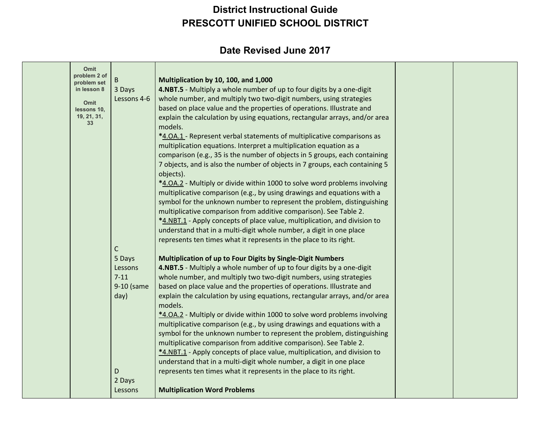| Omit                        |             |                                                                             |  |
|-----------------------------|-------------|-----------------------------------------------------------------------------|--|
| problem 2 of<br>problem set | B           | Multiplication by 10, 100, and 1,000                                        |  |
| in lesson 8                 | 3 Days      | 4.NBT.5 - Multiply a whole number of up to four digits by a one-digit       |  |
|                             | Lessons 4-6 | whole number, and multiply two two-digit numbers, using strategies          |  |
| Omit<br>lessons 10,         |             | based on place value and the properties of operations. Illustrate and       |  |
| 19, 21, 31,                 |             | explain the calculation by using equations, rectangular arrays, and/or area |  |
| 33                          |             | models.                                                                     |  |
|                             |             | *4.0A.1 - Represent verbal statements of multiplicative comparisons as      |  |
|                             |             | multiplication equations. Interpret a multiplication equation as a          |  |
|                             |             | comparison (e.g., 35 is the number of objects in 5 groups, each containing  |  |
|                             |             | 7 objects, and is also the number of objects in 7 groups, each containing 5 |  |
|                             |             | objects).                                                                   |  |
|                             |             | *4.0A.2 - Multiply or divide within 1000 to solve word problems involving   |  |
|                             |             | multiplicative comparison (e.g., by using drawings and equations with a     |  |
|                             |             | symbol for the unknown number to represent the problem, distinguishing      |  |
|                             |             | multiplicative comparison from additive comparison). See Table 2.           |  |
|                             |             | *4.NBT.1 - Apply concepts of place value, multiplication, and division to   |  |
|                             |             | understand that in a multi-digit whole number, a digit in one place         |  |
|                             |             | represents ten times what it represents in the place to its right.          |  |
|                             | С           |                                                                             |  |
|                             | 5 Days      | Multiplication of up to Four Digits by Single-Digit Numbers                 |  |
|                             | Lessons     | 4.NBT.5 - Multiply a whole number of up to four digits by a one-digit       |  |
|                             | $7 - 11$    | whole number, and multiply two two-digit numbers, using strategies          |  |
|                             | 9-10 (same  | based on place value and the properties of operations. Illustrate and       |  |
|                             | day)        | explain the calculation by using equations, rectangular arrays, and/or area |  |
|                             |             | models.                                                                     |  |
|                             |             | *4.0A.2 - Multiply or divide within 1000 to solve word problems involving   |  |
|                             |             | multiplicative comparison (e.g., by using drawings and equations with a     |  |
|                             |             | symbol for the unknown number to represent the problem, distinguishing      |  |
|                             |             | multiplicative comparison from additive comparison). See Table 2.           |  |
|                             |             | *4.NBT.1 - Apply concepts of place value, multiplication, and division to   |  |
|                             |             | understand that in a multi-digit whole number, a digit in one place         |  |
|                             | D           | represents ten times what it represents in the place to its right.          |  |
|                             | 2 Days      |                                                                             |  |
|                             | Lessons     | <b>Multiplication Word Problems</b>                                         |  |
|                             |             |                                                                             |  |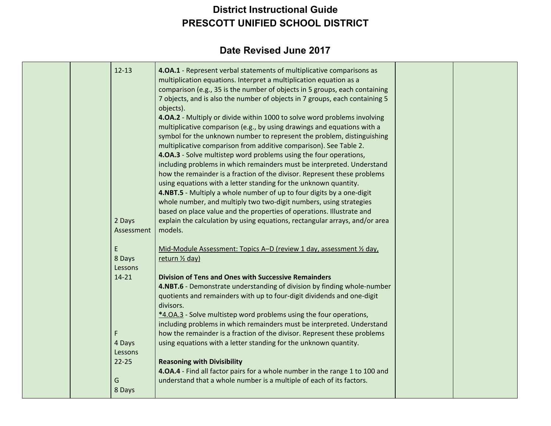| $12 - 13$                           | 4.0A.1 - Represent verbal statements of multiplicative comparisons as<br>multiplication equations. Interpret a multiplication equation as a<br>comparison (e.g., 35 is the number of objects in 5 groups, each containing<br>7 objects, and is also the number of objects in 7 groups, each containing 5<br>objects).<br>4.OA.2 - Multiply or divide within 1000 to solve word problems involving<br>multiplicative comparison (e.g., by using drawings and equations with a |  |
|-------------------------------------|------------------------------------------------------------------------------------------------------------------------------------------------------------------------------------------------------------------------------------------------------------------------------------------------------------------------------------------------------------------------------------------------------------------------------------------------------------------------------|--|
|                                     | symbol for the unknown number to represent the problem, distinguishing<br>multiplicative comparison from additive comparison). See Table 2.<br>4.0A.3 - Solve multistep word problems using the four operations,<br>including problems in which remainders must be interpreted. Understand<br>how the remainder is a fraction of the divisor. Represent these problems<br>using equations with a letter standing for the unknown quantity.                                   |  |
| 2 Days<br>Assessment                | 4.NBT.5 - Multiply a whole number of up to four digits by a one-digit<br>whole number, and multiply two two-digit numbers, using strategies<br>based on place value and the properties of operations. Illustrate and<br>explain the calculation by using equations, rectangular arrays, and/or area<br>models.                                                                                                                                                               |  |
| E<br>8 Days<br>Lessons              | Mid-Module Assessment: Topics A-D (review 1 day, assessment 1/2 day,<br>return 1/2 day)                                                                                                                                                                                                                                                                                                                                                                                      |  |
| $14 - 21$                           | <b>Division of Tens and Ones with Successive Remainders</b><br>4.NBT.6 - Demonstrate understanding of division by finding whole-number<br>quotients and remainders with up to four-digit dividends and one-digit<br>divisors.<br>*4.0A.3 - Solve multistep word problems using the four operations,<br>including problems in which remainders must be interpreted. Understand                                                                                                |  |
| F<br>4 Days<br>Lessons<br>$22 - 25$ | how the remainder is a fraction of the divisor. Represent these problems<br>using equations with a letter standing for the unknown quantity.<br><b>Reasoning with Divisibility</b>                                                                                                                                                                                                                                                                                           |  |
| G<br>8 Days                         | 4.0A.4 - Find all factor pairs for a whole number in the range 1 to 100 and<br>understand that a whole number is a multiple of each of its factors.                                                                                                                                                                                                                                                                                                                          |  |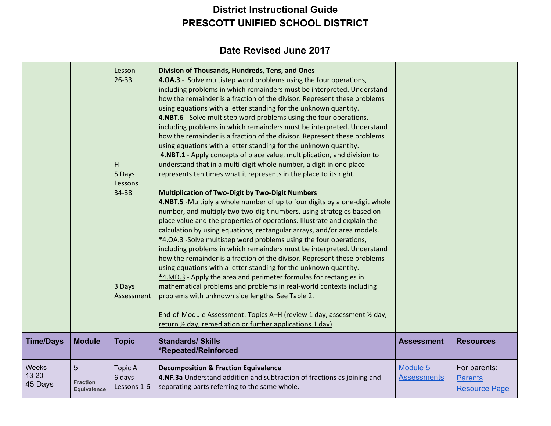| <b>Time/Days</b>                     | <b>Module</b>                              | н<br>5 Days<br>Lessons<br>34-38<br>3 Days<br>Assessment<br><b>Topic</b> | how the remainder is a fraction of the divisor. Represent these problems<br>using equations with a letter standing for the unknown quantity.<br>4.NBT.6 - Solve multistep word problems using the four operations,<br>including problems in which remainders must be interpreted. Understand<br>how the remainder is a fraction of the divisor. Represent these problems<br>using equations with a letter standing for the unknown quantity.<br>4.NBT.1 - Apply concepts of place value, multiplication, and division to<br>understand that in a multi-digit whole number, a digit in one place<br>represents ten times what it represents in the place to its right.<br><b>Multiplication of Two-Digit by Two-Digit Numbers</b><br>4.NBT.5 -Multiply a whole number of up to four digits by a one-digit whole<br>number, and multiply two two-digit numbers, using strategies based on<br>place value and the properties of operations. Illustrate and explain the<br>calculation by using equations, rectangular arrays, and/or area models.<br>*4.0A.3 -Solve multistep word problems using the four operations,<br>including problems in which remainders must be interpreted. Understand<br>how the remainder is a fraction of the divisor. Represent these problems<br>using equations with a letter standing for the unknown quantity.<br>*4.MD.3 - Apply the area and perimeter formulas for rectangles in<br>mathematical problems and problems in real-world contexts including<br>problems with unknown side lengths. See Table 2.<br>End-of-Module Assessment: Topics A-H (review 1 day, assessment 1/2 day,<br>return 1/2 day, remediation or further applications 1 day)<br><b>Standards/ Skills</b> | <b>Assessment</b>              | <b>Resources</b>                                       |
|--------------------------------------|--------------------------------------------|-------------------------------------------------------------------------|--------------------------------------------------------------------------------------------------------------------------------------------------------------------------------------------------------------------------------------------------------------------------------------------------------------------------------------------------------------------------------------------------------------------------------------------------------------------------------------------------------------------------------------------------------------------------------------------------------------------------------------------------------------------------------------------------------------------------------------------------------------------------------------------------------------------------------------------------------------------------------------------------------------------------------------------------------------------------------------------------------------------------------------------------------------------------------------------------------------------------------------------------------------------------------------------------------------------------------------------------------------------------------------------------------------------------------------------------------------------------------------------------------------------------------------------------------------------------------------------------------------------------------------------------------------------------------------------------------------------------------------------------------------------------------------------------------------------|--------------------------------|--------------------------------------------------------|
|                                      |                                            |                                                                         | *Repeated/Reinforced                                                                                                                                                                                                                                                                                                                                                                                                                                                                                                                                                                                                                                                                                                                                                                                                                                                                                                                                                                                                                                                                                                                                                                                                                                                                                                                                                                                                                                                                                                                                                                                                                                                                                               |                                |                                                        |
| <b>Weeks</b><br>$13 - 20$<br>45 Days | 5<br><b>Fraction</b><br><b>Equivalence</b> | <b>Topic A</b><br>6 days<br>Lessons 1-6                                 | <b>Decomposition &amp; Fraction Equivalence</b><br>4.NF.3a Understand addition and subtraction of fractions as joining and<br>separating parts referring to the same whole.                                                                                                                                                                                                                                                                                                                                                                                                                                                                                                                                                                                                                                                                                                                                                                                                                                                                                                                                                                                                                                                                                                                                                                                                                                                                                                                                                                                                                                                                                                                                        | Module 5<br><b>Assessments</b> | For parents:<br><b>Parents</b><br><b>Resource Page</b> |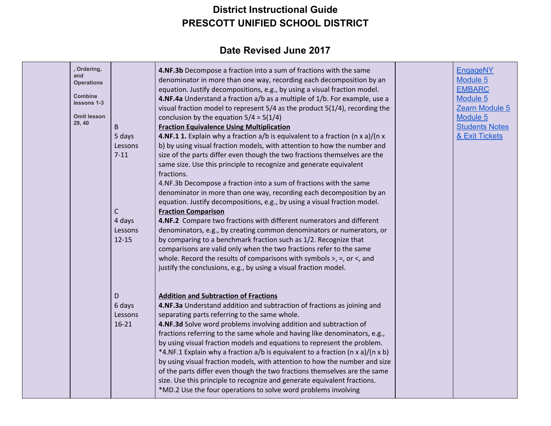| , Ordering,<br>and<br><b>Operations</b><br><b>Combine</b><br>lessons 1-3<br><b>Omit lesson</b><br>29, 40 | B<br>5 days<br>Lessons<br>$7 - 11$<br>$\mathsf{C}$<br>4 days<br>Lessons<br>$12 - 15$ | 4.NF.3b Decompose a fraction into a sum of fractions with the same<br>denominator in more than one way, recording each decomposition by an<br>equation. Justify decompositions, e.g., by using a visual fraction model.<br>4.NF.4a Understand a fraction a/b as a multiple of 1/b. For example, use a<br>visual fraction model to represent 5/4 as the product 5(1/4), recording the<br>conclusion by the equation $5/4 = 5(1/4)$<br><b>Fraction Equivalence Using Multiplication</b><br>4.NF.1 1. Explain why a fraction a/b is equivalent to a fraction (n x a)/(n x<br>b) by using visual fraction models, with attention to how the number and<br>size of the parts differ even though the two fractions themselves are the<br>same size. Use this principle to recognize and generate equivalent<br>fractions.<br>4.NF.3b Decompose a fraction into a sum of fractions with the same<br>denominator in more than one way, recording each decomposition by an<br>equation. Justify decompositions, e.g., by using a visual fraction model.<br><b>Fraction Comparison</b><br>4.NF.2 Compare two fractions with different numerators and different<br>denominators, e.g., by creating common denominators or numerators, or<br>by comparing to a benchmark fraction such as 1/2. Recognize that<br>comparisons are valid only when the two fractions refer to the same<br>whole. Record the results of comparisons with symbols $>$ , $=$ , or $\lt$ , and<br>justify the conclusions, e.g., by using a visual fraction model. | <b>EngageNY</b><br>Module 5<br><b>EMBARC</b><br>Module 5<br>Zearn Module 5<br>Module 5<br><b>Students Notes</b><br>& Exit Tickets |
|----------------------------------------------------------------------------------------------------------|--------------------------------------------------------------------------------------|----------------------------------------------------------------------------------------------------------------------------------------------------------------------------------------------------------------------------------------------------------------------------------------------------------------------------------------------------------------------------------------------------------------------------------------------------------------------------------------------------------------------------------------------------------------------------------------------------------------------------------------------------------------------------------------------------------------------------------------------------------------------------------------------------------------------------------------------------------------------------------------------------------------------------------------------------------------------------------------------------------------------------------------------------------------------------------------------------------------------------------------------------------------------------------------------------------------------------------------------------------------------------------------------------------------------------------------------------------------------------------------------------------------------------------------------------------------------------------------------------------------------------------|-----------------------------------------------------------------------------------------------------------------------------------|
|                                                                                                          | D<br>6 days<br>Lessons<br>$16 - 21$                                                  | <b>Addition and Subtraction of Fractions</b><br>4.NF.3a Understand addition and subtraction of fractions as joining and<br>separating parts referring to the same whole.<br>4.NF.3d Solve word problems involving addition and subtraction of<br>fractions referring to the same whole and having like denominators, e.g.,<br>by using visual fraction models and equations to represent the problem.<br>*4.NF.1 Explain why a fraction a/b is equivalent to a fraction (n x a)/(n x b)<br>by using visual fraction models, with attention to how the number and size<br>of the parts differ even though the two fractions themselves are the same<br>size. Use this principle to recognize and generate equivalent fractions.<br>*MD.2 Use the four operations to solve word problems involving                                                                                                                                                                                                                                                                                                                                                                                                                                                                                                                                                                                                                                                                                                                                 |                                                                                                                                   |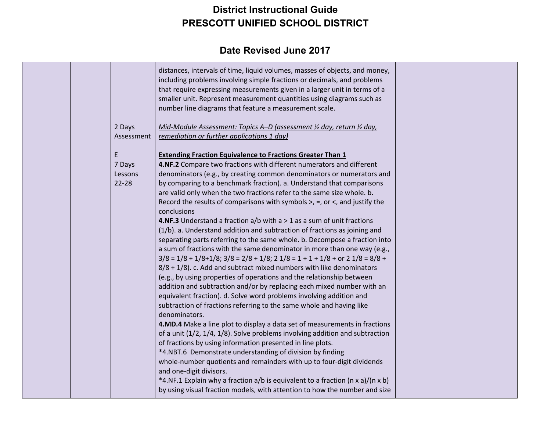|            | distances, intervals of time, liquid volumes, masses of objects, and money,<br>including problems involving simple fractions or decimals, and problems<br>that require expressing measurements given in a larger unit in terms of a<br>smaller unit. Represent measurement quantities using diagrams such as<br>number line diagrams that feature a measurement scale. |  |
|------------|------------------------------------------------------------------------------------------------------------------------------------------------------------------------------------------------------------------------------------------------------------------------------------------------------------------------------------------------------------------------|--|
| 2 Days     | Mid-Module Assessment: Topics A-D (assessment 1/2 day, return 1/2 day,                                                                                                                                                                                                                                                                                                 |  |
| Assessment | remediation or further applications 1 day)                                                                                                                                                                                                                                                                                                                             |  |
| E          | <b>Extending Fraction Equivalence to Fractions Greater Than 1</b>                                                                                                                                                                                                                                                                                                      |  |
| 7 Days     | 4.NF.2 Compare two fractions with different numerators and different                                                                                                                                                                                                                                                                                                   |  |
| Lessons    | denominators (e.g., by creating common denominators or numerators and                                                                                                                                                                                                                                                                                                  |  |
| $22 - 28$  | by comparing to a benchmark fraction). a. Understand that comparisons                                                                                                                                                                                                                                                                                                  |  |
|            | are valid only when the two fractions refer to the same size whole. b.                                                                                                                                                                                                                                                                                                 |  |
|            | Record the results of comparisons with symbols $>$ , $=$ , or $\lt$ , and justify the<br>conclusions                                                                                                                                                                                                                                                                   |  |
|            | <b>4.NF.3</b> Understand a fraction $a/b$ with $a > 1$ as a sum of unit fractions                                                                                                                                                                                                                                                                                      |  |
|            | (1/b). a. Understand addition and subtraction of fractions as joining and                                                                                                                                                                                                                                                                                              |  |
|            | separating parts referring to the same whole. b. Decompose a fraction into                                                                                                                                                                                                                                                                                             |  |
|            | a sum of fractions with the same denominator in more than one way (e.g.,                                                                                                                                                                                                                                                                                               |  |
|            | $3/8$ = 1/8 + 1/8+1/8; $3/8$ = 2/8 + 1/8; 2 1/8 = 1 + 1 + 1/8 + or 2 1/8 = 8/8 +                                                                                                                                                                                                                                                                                       |  |
|            | $8/8$ + $1/8$ ). c. Add and subtract mixed numbers with like denominators                                                                                                                                                                                                                                                                                              |  |
|            | (e.g., by using properties of operations and the relationship between                                                                                                                                                                                                                                                                                                  |  |
|            | addition and subtraction and/or by replacing each mixed number with an                                                                                                                                                                                                                                                                                                 |  |
|            | equivalent fraction). d. Solve word problems involving addition and                                                                                                                                                                                                                                                                                                    |  |
|            | subtraction of fractions referring to the same whole and having like                                                                                                                                                                                                                                                                                                   |  |
|            | denominators.<br>4.MD.4 Make a line plot to display a data set of measurements in fractions                                                                                                                                                                                                                                                                            |  |
|            | of a unit (1/2, 1/4, 1/8). Solve problems involving addition and subtraction                                                                                                                                                                                                                                                                                           |  |
|            | of fractions by using information presented in line plots.                                                                                                                                                                                                                                                                                                             |  |
|            | *4.NBT.6 Demonstrate understanding of division by finding                                                                                                                                                                                                                                                                                                              |  |
|            | whole-number quotients and remainders with up to four-digit dividends                                                                                                                                                                                                                                                                                                  |  |
|            | and one-digit divisors.                                                                                                                                                                                                                                                                                                                                                |  |
|            | *4.NF.1 Explain why a fraction a/b is equivalent to a fraction (n x a)/(n x b)                                                                                                                                                                                                                                                                                         |  |
|            | by using visual fraction models, with attention to how the number and size                                                                                                                                                                                                                                                                                             |  |
|            |                                                                                                                                                                                                                                                                                                                                                                        |  |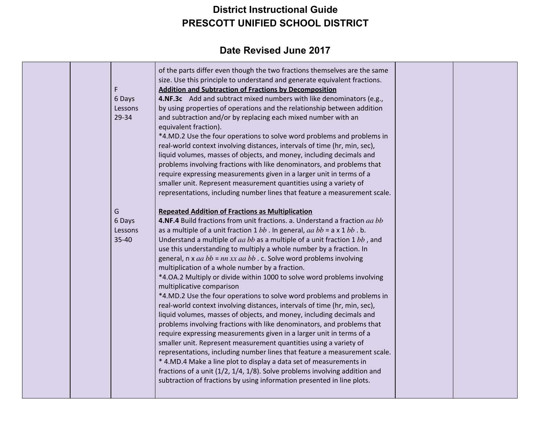| F<br>6 Days<br>Lessons<br>29-34 | of the parts differ even though the two fractions themselves are the same<br>size. Use this principle to understand and generate equivalent fractions.<br><b>Addition and Subtraction of Fractions by Decomposition</b><br>4.NF.3c Add and subtract mixed numbers with like denominators (e.g.,<br>by using properties of operations and the relationship between addition<br>and subtraction and/or by replacing each mixed number with an<br>equivalent fraction).<br>*4.MD.2 Use the four operations to solve word problems and problems in<br>real-world context involving distances, intervals of time (hr, min, sec),<br>liquid volumes, masses of objects, and money, including decimals and<br>problems involving fractions with like denominators, and problems that<br>require expressing measurements given in a larger unit in terms of a<br>smaller unit. Represent measurement quantities using a variety of<br>representations, including number lines that feature a measurement scale.                                                                                                                                                                                                                                                                                                                                                                                             |  |
|---------------------------------|-----------------------------------------------------------------------------------------------------------------------------------------------------------------------------------------------------------------------------------------------------------------------------------------------------------------------------------------------------------------------------------------------------------------------------------------------------------------------------------------------------------------------------------------------------------------------------------------------------------------------------------------------------------------------------------------------------------------------------------------------------------------------------------------------------------------------------------------------------------------------------------------------------------------------------------------------------------------------------------------------------------------------------------------------------------------------------------------------------------------------------------------------------------------------------------------------------------------------------------------------------------------------------------------------------------------------------------------------------------------------------------------------------|--|
| G<br>6 Days<br>Lessons<br>35-40 | <b>Repeated Addition of Fractions as Multiplication</b><br>4.NF.4 Build fractions from unit fractions. a. Understand a fraction aa bb<br>as a multiple of a unit fraction $1 bb$ . In general, $aa bb = a \times 1 bb$ . b.<br>Understand a multiple of $aa bb$ as a multiple of a unit fraction 1 $bb$ , and<br>use this understanding to multiply a whole number by a fraction. In<br>general, $n \times aa bb = nn \times xa abb$ . c. Solve word problems involving<br>multiplication of a whole number by a fraction.<br>*4.0A.2 Multiply or divide within 1000 to solve word problems involving<br>multiplicative comparison<br>*4.MD.2 Use the four operations to solve word problems and problems in<br>real-world context involving distances, intervals of time (hr, min, sec),<br>liquid volumes, masses of objects, and money, including decimals and<br>problems involving fractions with like denominators, and problems that<br>require expressing measurements given in a larger unit in terms of a<br>smaller unit. Represent measurement quantities using a variety of<br>representations, including number lines that feature a measurement scale.<br>* 4.MD.4 Make a line plot to display a data set of measurements in<br>fractions of a unit (1/2, 1/4, 1/8). Solve problems involving addition and<br>subtraction of fractions by using information presented in line plots. |  |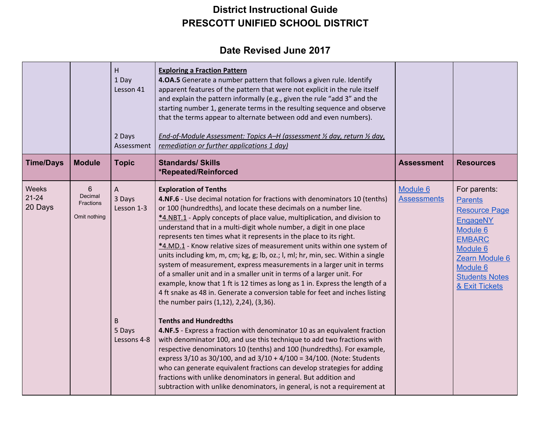|                               |                                                                | H<br>1 Day<br>Lesson 41<br>2 Days<br>Assessment         | <b>Exploring a Fraction Pattern</b><br>4.0A.5 Generate a number pattern that follows a given rule. Identify<br>apparent features of the pattern that were not explicit in the rule itself<br>and explain the pattern informally (e.g., given the rule "add 3" and the<br>starting number 1, generate terms in the resulting sequence and observe<br>that the terms appear to alternate between odd and even numbers).<br>End-of-Module Assessment: Topics A-H (assessment 1/2 day, return 1/2 day,<br>remediation or further applications 1 day)                                                                                                                                                                                                                                                                                                                                                                                                                                                                                                                                                                                                                                                                                                                                                                                                                                                                            |                                |                                                                                                                                                                                             |
|-------------------------------|----------------------------------------------------------------|---------------------------------------------------------|-----------------------------------------------------------------------------------------------------------------------------------------------------------------------------------------------------------------------------------------------------------------------------------------------------------------------------------------------------------------------------------------------------------------------------------------------------------------------------------------------------------------------------------------------------------------------------------------------------------------------------------------------------------------------------------------------------------------------------------------------------------------------------------------------------------------------------------------------------------------------------------------------------------------------------------------------------------------------------------------------------------------------------------------------------------------------------------------------------------------------------------------------------------------------------------------------------------------------------------------------------------------------------------------------------------------------------------------------------------------------------------------------------------------------------|--------------------------------|---------------------------------------------------------------------------------------------------------------------------------------------------------------------------------------------|
| <b>Time/Days</b>              | <b>Module</b>                                                  | <b>Topic</b>                                            | <b>Standards/ Skills</b><br>*Repeated/Reinforced                                                                                                                                                                                                                                                                                                                                                                                                                                                                                                                                                                                                                                                                                                                                                                                                                                                                                                                                                                                                                                                                                                                                                                                                                                                                                                                                                                            | <b>Assessment</b>              | <b>Resources</b>                                                                                                                                                                            |
| Weeks<br>$21 - 24$<br>20 Days | $6\phantom{1}6$<br>Decimal<br><b>Fractions</b><br>Omit nothing | A<br>3 Days<br>Lesson 1-3<br>B<br>5 Days<br>Lessons 4-8 | <b>Exploration of Tenths</b><br>4.NF.6 - Use decimal notation for fractions with denominators 10 (tenths)<br>or 100 (hundredths), and locate these decimals on a number line.<br>*4.NBT.1 - Apply concepts of place value, multiplication, and division to<br>understand that in a multi-digit whole number, a digit in one place<br>represents ten times what it represents in the place to its right.<br>*4.MD.1 - Know relative sizes of measurement units within one system of<br>units including km, m, cm; kg, g; lb, oz.; l, ml; hr, min, sec. Within a single<br>system of measurement, express measurements in a larger unit in terms<br>of a smaller unit and in a smaller unit in terms of a larger unit. For<br>example, know that 1 ft is 12 times as long as 1 in. Express the length of a<br>4 ft snake as 48 in. Generate a conversion table for feet and inches listing<br>the number pairs (1,12), 2,24), (3,36).<br><b>Tenths and Hundredths</b><br>4.NF.5 - Express a fraction with denominator 10 as an equivalent fraction<br>with denominator 100, and use this technique to add two fractions with<br>respective denominators 10 (tenths) and 100 (hundredths). For example,<br>express 3/10 as 30/100, and ad 3/10 + 4/100 = 34/100. (Note: Students<br>who can generate equivalent fractions can develop strategies for adding<br>fractions with unlike denominators in general. But addition and | Module 6<br><b>Assessments</b> | For parents:<br><b>Parents</b><br><b>Resource Page</b><br><b>EngageNY</b><br>Module 6<br><b>EMBARC</b><br>Module 6<br>Zearn Module 6<br>Module 6<br><b>Students Notes</b><br>& Exit Tickets |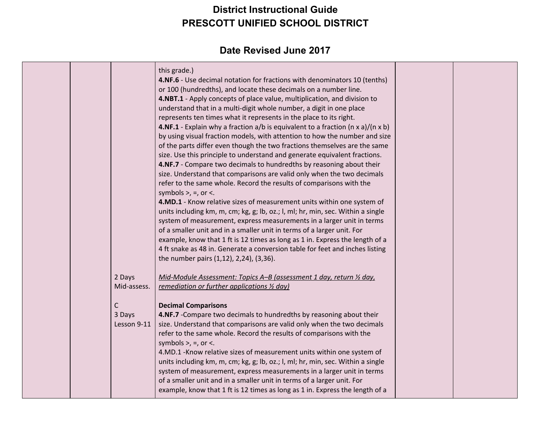|  |                            | this grade.)<br>4.NF.6 - Use decimal notation for fractions with denominators 10 (tenths)<br>or 100 (hundredths), and locate these decimals on a number line.<br>4.NBT.1 - Apply concepts of place value, multiplication, and division to<br>understand that in a multi-digit whole number, a digit in one place<br>represents ten times what it represents in the place to its right.<br><b>4.NF.1</b> - Explain why a fraction $a/b$ is equivalent to a fraction (n x a)/(n x b)<br>by using visual fraction models, with attention to how the number and size<br>of the parts differ even though the two fractions themselves are the same<br>size. Use this principle to understand and generate equivalent fractions. |  |
|--|----------------------------|----------------------------------------------------------------------------------------------------------------------------------------------------------------------------------------------------------------------------------------------------------------------------------------------------------------------------------------------------------------------------------------------------------------------------------------------------------------------------------------------------------------------------------------------------------------------------------------------------------------------------------------------------------------------------------------------------------------------------|--|
|  |                            | 4.NF.7 - Compare two decimals to hundredths by reasoning about their<br>size. Understand that comparisons are valid only when the two decimals<br>refer to the same whole. Record the results of comparisons with the<br>symbols $>$ , $=$ , or $\lt$ .<br>4.MD.1 - Know relative sizes of measurement units within one system of                                                                                                                                                                                                                                                                                                                                                                                          |  |
|  |                            | units including km, m, cm; kg, g; lb, oz.; l, ml; hr, min, sec. Within a single<br>system of measurement, express measurements in a larger unit in terms<br>of a smaller unit and in a smaller unit in terms of a larger unit. For<br>example, know that 1 ft is 12 times as long as 1 in. Express the length of a<br>4 ft snake as 48 in. Generate a conversion table for feet and inches listing<br>the number pairs (1,12), 2,24), (3,36).                                                                                                                                                                                                                                                                              |  |
|  | 2 Days<br>Mid-assess.      | Mid-Module Assessment: Topics A-B (assessment 1 day, return 1/2 day,<br>remediation or further applications 1/2 day)                                                                                                                                                                                                                                                                                                                                                                                                                                                                                                                                                                                                       |  |
|  | С<br>3 Days<br>Lesson 9-11 | <b>Decimal Comparisons</b><br>4.NF.7 - Compare two decimals to hundredths by reasoning about their<br>size. Understand that comparisons are valid only when the two decimals<br>refer to the same whole. Record the results of comparisons with the<br>symbols $>$ , $=$ , or $\lt$ .<br>4.MD.1 -Know relative sizes of measurement units within one system of<br>units including km, m, cm; kg, g; lb, oz.; l, ml; hr, min, sec. Within a single<br>system of measurement, express measurements in a larger unit in terms<br>of a smaller unit and in a smaller unit in terms of a larger unit. For<br>example, know that 1 ft is 12 times as long as 1 in. Express the length of a                                       |  |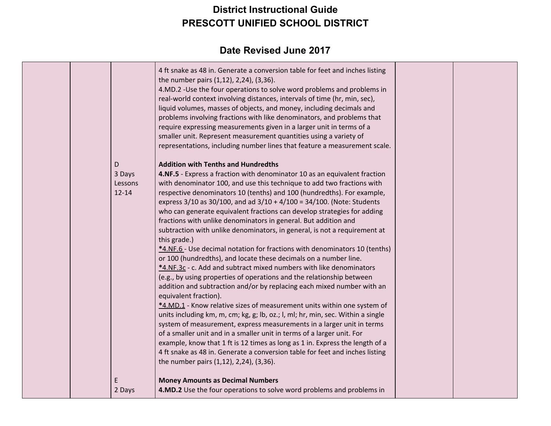|           | 4 ft snake as 48 in. Generate a conversion table for feet and inches listing<br>the number pairs (1,12), 2,24), (3,36).<br>4.MD.2 -Use the four operations to solve word problems and problems in<br>real-world context involving distances, intervals of time (hr, min, sec),<br>liquid volumes, masses of objects, and money, including decimals and<br>problems involving fractions with like denominators, and problems that<br>require expressing measurements given in a larger unit in terms of a<br>smaller unit. Represent measurement quantities using a variety of<br>representations, including number lines that feature a measurement scale. |  |
|-----------|------------------------------------------------------------------------------------------------------------------------------------------------------------------------------------------------------------------------------------------------------------------------------------------------------------------------------------------------------------------------------------------------------------------------------------------------------------------------------------------------------------------------------------------------------------------------------------------------------------------------------------------------------------|--|
| D         | <b>Addition with Tenths and Hundredths</b>                                                                                                                                                                                                                                                                                                                                                                                                                                                                                                                                                                                                                 |  |
| 3 Days    | 4.NF.5 - Express a fraction with denominator 10 as an equivalent fraction                                                                                                                                                                                                                                                                                                                                                                                                                                                                                                                                                                                  |  |
| Lessons   | with denominator 100, and use this technique to add two fractions with                                                                                                                                                                                                                                                                                                                                                                                                                                                                                                                                                                                     |  |
| $12 - 14$ | respective denominators 10 (tenths) and 100 (hundredths). For example,                                                                                                                                                                                                                                                                                                                                                                                                                                                                                                                                                                                     |  |
|           | express $3/10$ as $30/100$ , and ad $3/10 + 4/100 = 34/100$ . (Note: Students                                                                                                                                                                                                                                                                                                                                                                                                                                                                                                                                                                              |  |
|           | who can generate equivalent fractions can develop strategies for adding                                                                                                                                                                                                                                                                                                                                                                                                                                                                                                                                                                                    |  |
|           | fractions with unlike denominators in general. But addition and                                                                                                                                                                                                                                                                                                                                                                                                                                                                                                                                                                                            |  |
|           | subtraction with unlike denominators, in general, is not a requirement at                                                                                                                                                                                                                                                                                                                                                                                                                                                                                                                                                                                  |  |
|           | this grade.)                                                                                                                                                                                                                                                                                                                                                                                                                                                                                                                                                                                                                                               |  |
|           | *4.NF.6 - Use decimal notation for fractions with denominators 10 (tenths)                                                                                                                                                                                                                                                                                                                                                                                                                                                                                                                                                                                 |  |
|           | or 100 (hundredths), and locate these decimals on a number line.                                                                                                                                                                                                                                                                                                                                                                                                                                                                                                                                                                                           |  |
|           | *4.NF.3c - c. Add and subtract mixed numbers with like denominators                                                                                                                                                                                                                                                                                                                                                                                                                                                                                                                                                                                        |  |
|           | (e.g., by using properties of operations and the relationship between                                                                                                                                                                                                                                                                                                                                                                                                                                                                                                                                                                                      |  |
|           | addition and subtraction and/or by replacing each mixed number with an                                                                                                                                                                                                                                                                                                                                                                                                                                                                                                                                                                                     |  |
|           | equivalent fraction).                                                                                                                                                                                                                                                                                                                                                                                                                                                                                                                                                                                                                                      |  |
|           | *4.MD.1 - Know relative sizes of measurement units within one system of                                                                                                                                                                                                                                                                                                                                                                                                                                                                                                                                                                                    |  |
|           | units including km, m, cm; kg, g; lb, oz.; l, ml; hr, min, sec. Within a single                                                                                                                                                                                                                                                                                                                                                                                                                                                                                                                                                                            |  |
|           | system of measurement, express measurements in a larger unit in terms                                                                                                                                                                                                                                                                                                                                                                                                                                                                                                                                                                                      |  |
|           | of a smaller unit and in a smaller unit in terms of a larger unit. For                                                                                                                                                                                                                                                                                                                                                                                                                                                                                                                                                                                     |  |
|           | example, know that 1 ft is 12 times as long as 1 in. Express the length of a                                                                                                                                                                                                                                                                                                                                                                                                                                                                                                                                                                               |  |
|           | 4 ft snake as 48 in. Generate a conversion table for feet and inches listing                                                                                                                                                                                                                                                                                                                                                                                                                                                                                                                                                                               |  |
|           | the number pairs (1,12), 2,24), (3,36).                                                                                                                                                                                                                                                                                                                                                                                                                                                                                                                                                                                                                    |  |
| E         |                                                                                                                                                                                                                                                                                                                                                                                                                                                                                                                                                                                                                                                            |  |
| 2 Days    | <b>Money Amounts as Decimal Numbers</b><br>4.MD.2 Use the four operations to solve word problems and problems in                                                                                                                                                                                                                                                                                                                                                                                                                                                                                                                                           |  |
|           |                                                                                                                                                                                                                                                                                                                                                                                                                                                                                                                                                                                                                                                            |  |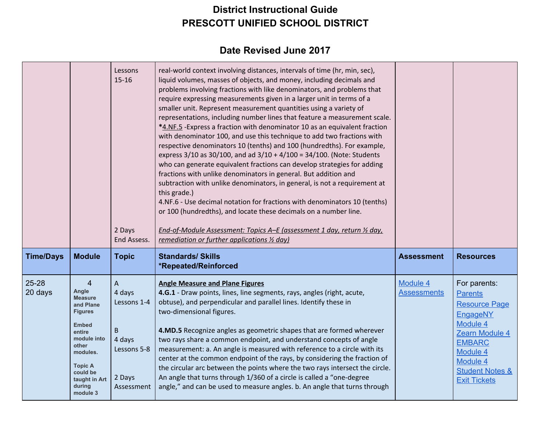|                      |                                                                                                                                                                                                             | Lessons<br>$15 - 16$<br>2 Days<br>End Assess.                                          | real-world context involving distances, intervals of time (hr, min, sec),<br>liquid volumes, masses of objects, and money, including decimals and<br>problems involving fractions with like denominators, and problems that<br>require expressing measurements given in a larger unit in terms of a<br>smaller unit. Represent measurement quantities using a variety of<br>representations, including number lines that feature a measurement scale.<br>*4.NF.5 - Express a fraction with denominator 10 as an equivalent fraction<br>with denominator 100, and use this technique to add two fractions with<br>respective denominators 10 (tenths) and 100 (hundredths). For example,<br>express $3/10$ as $30/100$ , and ad $3/10 + 4/100 = 34/100$ . (Note: Students<br>who can generate equivalent fractions can develop strategies for adding<br>fractions with unlike denominators in general. But addition and<br>subtraction with unlike denominators, in general, is not a requirement at<br>this grade.)<br>4.NF.6 - Use decimal notation for fractions with denominators 10 (tenths)<br>or 100 (hundredths), and locate these decimals on a number line.<br>End-of-Module Assessment: Topics A-E (assessment 1 day, return 1/2 day,<br>remediation or further applications 1/2 day) |                                |                                                                                                                                                                                                |
|----------------------|-------------------------------------------------------------------------------------------------------------------------------------------------------------------------------------------------------------|----------------------------------------------------------------------------------------|-------------------------------------------------------------------------------------------------------------------------------------------------------------------------------------------------------------------------------------------------------------------------------------------------------------------------------------------------------------------------------------------------------------------------------------------------------------------------------------------------------------------------------------------------------------------------------------------------------------------------------------------------------------------------------------------------------------------------------------------------------------------------------------------------------------------------------------------------------------------------------------------------------------------------------------------------------------------------------------------------------------------------------------------------------------------------------------------------------------------------------------------------------------------------------------------------------------------------------------------------------------------------------------------------|--------------------------------|------------------------------------------------------------------------------------------------------------------------------------------------------------------------------------------------|
| <b>Time/Days</b>     | <b>Module</b>                                                                                                                                                                                               | <b>Topic</b>                                                                           | <b>Standards/ Skills</b><br>*Repeated/Reinforced                                                                                                                                                                                                                                                                                                                                                                                                                                                                                                                                                                                                                                                                                                                                                                                                                                                                                                                                                                                                                                                                                                                                                                                                                                                | <b>Assessment</b>              | <b>Resources</b>                                                                                                                                                                               |
| $25 - 28$<br>20 days | $\overline{4}$<br>Angle<br><b>Measure</b><br>and Plane<br><b>Figures</b><br><b>Embed</b><br>entire<br>module into<br>other<br>modules.<br><b>Topic A</b><br>could be<br>taught in Art<br>during<br>module 3 | A<br>4 days<br>Lessons 1-4<br>$\sf B$<br>4 days<br>Lessons 5-8<br>2 Days<br>Assessment | <b>Angle Measure and Plane Figures</b><br>4.G.1 - Draw points, lines, line segments, rays, angles (right, acute,<br>obtuse), and perpendicular and parallel lines. Identify these in<br>two-dimensional figures.<br>4.MD.5 Recognize angles as geometric shapes that are formed wherever<br>two rays share a common endpoint, and understand concepts of angle<br>measurement: a. An angle is measured with reference to a circle with its<br>center at the common endpoint of the rays, by considering the fraction of<br>the circular arc between the points where the two rays intersect the circle.<br>An angle that turns through 1/360 of a circle is called a "one-degree<br>angle," and can be used to measure angles. b. An angle that turns through                                                                                                                                                                                                                                                                                                                                                                                                                                                                                                                                   | Module 4<br><b>Assessments</b> | For parents:<br><b>Parents</b><br><b>Resource Page</b><br>EngageNY<br>Module 4<br>Zearn Module 4<br><b>EMBARC</b><br>Module 4<br>Module 4<br><b>Student Notes &amp;</b><br><b>Exit Tickets</b> |